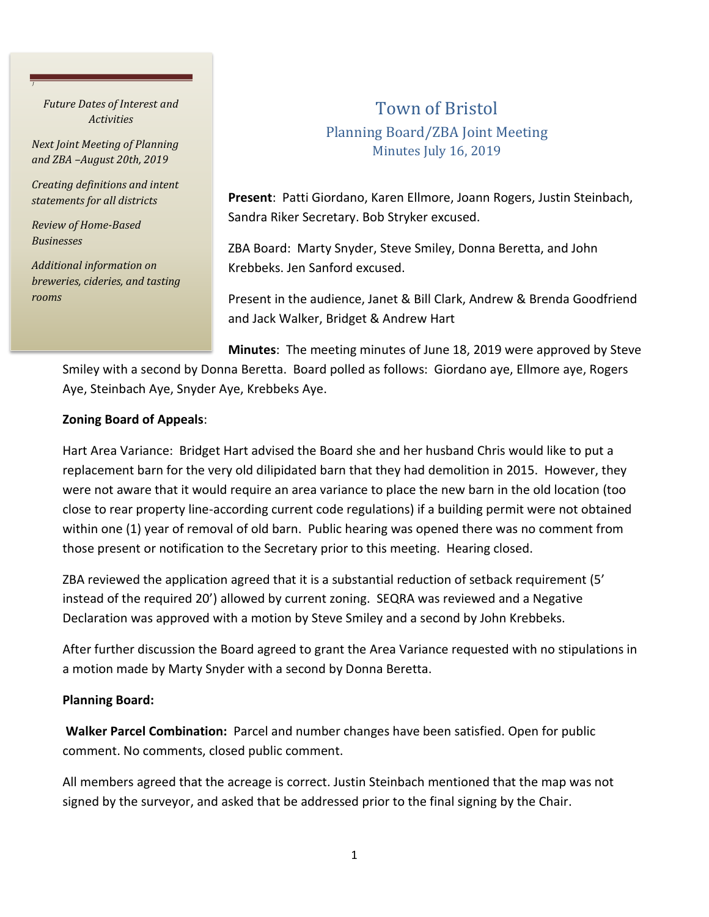*Future Dates of Interest and Activities*

*J*

*Next Joint Meeting of Planning and ZBA –August 20th, 2019*

*Creating definitions and intent statements for all districts*

*Review of Home-Based Businesses*

*Additional information on breweries, cideries, and tasting rooms*

## Town of Bristol Planning Board/ZBA Joint Meeting Minutes July 16, 2019

**Present**: Patti Giordano, Karen Ellmore, Joann Rogers, Justin Steinbach, Sandra Riker Secretary. Bob Stryker excused.

ZBA Board: Marty Snyder, Steve Smiley, Donna Beretta, and John Krebbeks. Jen Sanford excused.

Present in the audience, Janet & Bill Clark, Andrew & Brenda Goodfriend and Jack Walker, Bridget & Andrew Hart

**Minutes**: The meeting minutes of June 18, 2019 were approved by Steve

Smiley with a second by Donna Beretta. Board polled as follows: Giordano aye, Ellmore aye, Rogers Aye, Steinbach Aye, Snyder Aye, Krebbeks Aye.

## **Zoning Board of Appeals**:

Hart Area Variance: Bridget Hart advised the Board she and her husband Chris would like to put a replacement barn for the very old dilipidated barn that they had demolition in 2015. However, they were not aware that it would require an area variance to place the new barn in the old location (too close to rear property line-according current code regulations) if a building permit were not obtained within one (1) year of removal of old barn. Public hearing was opened there was no comment from those present or notification to the Secretary prior to this meeting. Hearing closed.

ZBA reviewed the application agreed that it is a substantial reduction of setback requirement (5' instead of the required 20') allowed by current zoning. SEQRA was reviewed and a Negative Declaration was approved with a motion by Steve Smiley and a second by John Krebbeks.

After further discussion the Board agreed to grant the Area Variance requested with no stipulations in a motion made by Marty Snyder with a second by Donna Beretta.

## **Planning Board:**

**Walker Parcel Combination:** Parcel and number changes have been satisfied. Open for public comment. No comments, closed public comment.

All members agreed that the acreage is correct. Justin Steinbach mentioned that the map was not signed by the surveyor, and asked that be addressed prior to the final signing by the Chair.